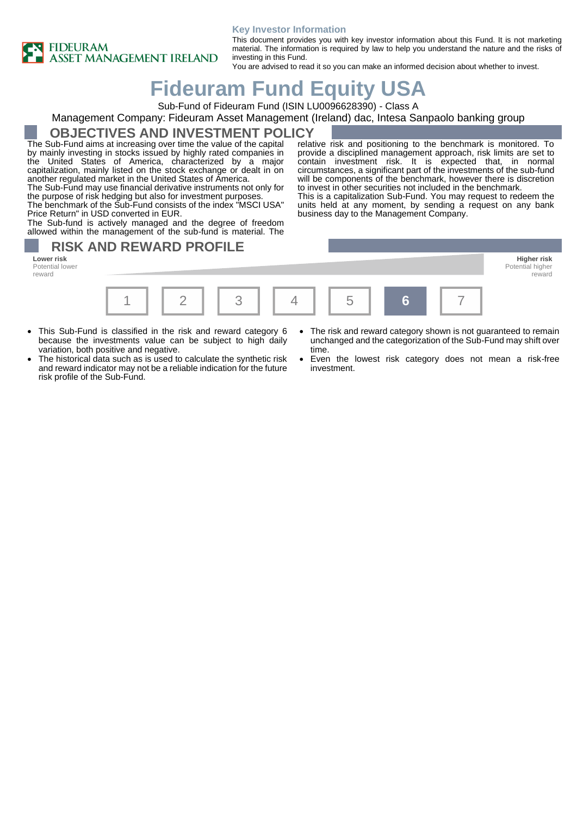

#### **Key Investor Information**

This document provides you with key investor information about this Fund. It is not marketing material. The information is required by law to help you understand the nature and the risks of investing in this Fund.

You are advised to read it so you can make an informed decision about whether to invest.

business day to the Management Company.

# **Fideuram Fund Equity USA**

Sub-Fund of Fideuram Fund (ISIN LU0096628390) - Class A

### Management Company: Fideuram Asset Management (Ireland) dac, Intesa Sanpaolo banking group

### **OBJECTIVES AND INVESTMENT POLICY**

The Sub-Fund aims at increasing over time the value of the capital by mainly investing in stocks issued by highly rated companies in the United States of America, characterized by a major capitalization, mainly listed on the stock exchange or dealt in on another regulated market in the United States of America.

The Sub-Fund may use financial derivative instruments not only for the purpose of risk hedging but also for investment purposes.

The benchmark of the Sub-Fund consists of the index "MSCI USA" Price Return" in USD converted in EUR.

The Sub-fund is actively managed and the degree of freedom allowed within the management of the sub-fund is material. The

# **RISK AND REWARD PROFILE**

Potential lower reward



- This Sub-Fund is classified in the risk and reward category 6 because the investments value can be subject to high daily variation, both positive and negative.
- The historical data such as is used to calculate the synthetic risk and reward indicator may not be a reliable indication for the future risk profile of the Sub-Fund.
- The risk and reward category shown is not guaranteed to remain unchanged and the categorization of the Sub-Fund may shift over time.

reward

relative risk and positioning to the benchmark is monitored. To provide a disciplined management approach, risk limits are set to contain investment risk. It is expected that, in normal circumstances, a significant part of the investments of the sub-fund will be components of the benchmark, however there is discretion to invest in other securities not included in the benchmark. This is a capitalization Sub-Fund. You may request to redeem the units held at any moment, by sending a request on any bank

Even the lowest risk category does not mean a risk-free investment.